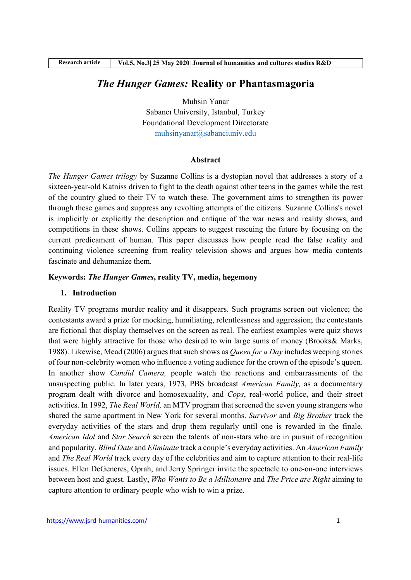# The Hunger Games: Reality or Phantasmagoria

Muhsin Yanar Sabancı University, Istanbul, Turkey Foundational Development Directorate muhsinyanar@sabanciuniv.edu

#### Abstract

The Hunger Games trilogy by Suzanne Collins is a dystopian novel that addresses a story of a sixteen-year-old Katniss driven to fight to the death against other teens in the games while the rest of the country glued to their TV to watch these. The government aims to strengthen its power through these games and suppress any revolting attempts of the citizens. Suzanne Collins's novel is implicitly or explicitly the description and critique of the war news and reality shows, and competitions in these shows. Collins appears to suggest rescuing the future by focusing on the current predicament of human. This paper discusses how people read the false reality and continuing violence screening from reality television shows and argues how media contents fascinate and dehumanize them.

## Keywords: The Hunger Games, reality TV, media, hegemony

### 1. Introduction

Reality TV programs murder reality and it disappears. Such programs screen out violence; the contestants award a prize for mocking, humiliating, relentlessness and aggression; the contestants are fictional that display themselves on the screen as real. The earliest examples were quiz shows that were highly attractive for those who desired to win large sums of money (Brooks& Marks, 1988). Likewise, Mead (2006) argues that such shows as *Queen for a Day* includes weeping stories of four non-celebrity women who influence a voting audience for the crown of the episode's queen. In another show *Candid Camera*, people watch the reactions and embarrassments of the unsuspecting public. In later years, 1973, PBS broadcast American Family, as a documentary program dealt with divorce and homosexuality, and Cops, real-world police, and their street activities. In 1992, The Real World, an MTV program that screened the seven young strangers who shared the same apartment in New York for several months. Survivor and Big Brother track the everyday activities of the stars and drop them regularly until one is rewarded in the finale. American Idol and Star Search screen the talents of non-stars who are in pursuit of recognition and popularity. Blind Date and Eliminate track a couple's everyday activities. An American Family and The Real World track every day of the celebrities and aim to capture attention to their real-life issues. Ellen DeGeneres, Oprah, and Jerry Springer invite the spectacle to one-on-one interviews between host and guest. Lastly, Who Wants to Be a Millionaire and The Price are Right aiming to capture attention to ordinary people who wish to win a prize.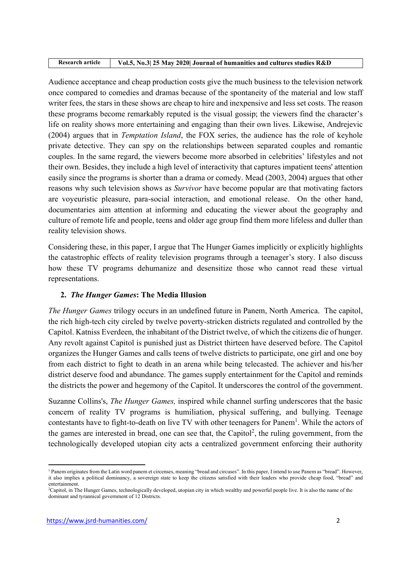| Research article | Vol.5, No.3 25 May 2020 Journal of humanities and cultures studies R&D |
|------------------|------------------------------------------------------------------------|

Audience acceptance and cheap production costs give the much business to the television network once compared to comedies and dramas because of the spontaneity of the material and low staff writer fees, the stars in these shows are cheap to hire and inexpensive and less set costs. The reason these programs become remarkably reputed is the visual gossip; the viewers find the character's life on reality shows more entertaining and engaging than their own lives. Likewise, Andrejevic (2004) argues that in Temptation Island, the FOX series, the audience has the role of keyhole private detective. They can spy on the relationships between separated couples and romantic couples. In the same regard, the viewers become more absorbed in celebrities' lifestyles and not their own. Besides, they include a high level of interactivity that captures impatient teens' attention easily since the programs is shorter than a drama or comedy. Mead (2003, 2004) argues that other reasons why such television shows as *Survivor* have become popular are that motivating factors are voyeuristic pleasure, para-social interaction, and emotional release. On the other hand, documentaries aim attention at informing and educating the viewer about the geography and culture of remote life and people, teens and older age group find them more lifeless and duller than reality television shows.

Considering these, in this paper, I argue that The Hunger Games implicitly or explicitly highlights the catastrophic effects of reality television programs through a teenager's story. I also discuss how these TV programs dehumanize and desensitize those who cannot read these virtual representations.

# 2. The Hunger Games: The Media Illusion

The Hunger Games trilogy occurs in an undefined future in Panem, North America. The capitol, the rich high-tech city circled by twelve poverty-stricken districts regulated and controlled by the Capitol. Katniss Everdeen, the inhabitant of the District twelve, of which the citizens die of hunger. Any revolt against Capitol is punished just as District thirteen have deserved before. The Capitol organizes the Hunger Games and calls teens of twelve districts to participate, one girl and one boy from each district to fight to death in an arena while being telecasted. The achiever and his/her district deserve food and abundance. The games supply entertainment for the Capitol and reminds the districts the power and hegemony of the Capitol. It underscores the control of the government.

Suzanne Collins's, The Hunger Games, inspired while channel surfing underscores that the basic concern of reality TV programs is humiliation, physical suffering, and bullying. Teenage contestants have to fight-to-death on live TV with other teenagers for Panem<sup>1</sup>. While the actors of the games are interested in bread, one can see that, the Capitol<sup>2</sup>, the ruling government, from the technologically developed utopian city acts a centralized government enforcing their authority

<sup>&</sup>lt;sup>1</sup> Panem originates from the Latin word panem et circenses, meaning "bread and circuses". In this paper, I intend to use Panem as "bread". However, it also implies a political dominancy, a sovereign state to keep the citizens satisfied with their leaders who provide cheap food, "bread" and entertainment.

<sup>2</sup>Capitol, in The Hunger Games, technologically developed, utopian city in which wealthy and powerful people live. It is also the name of the dominant and tyrannical government of 12 Districts.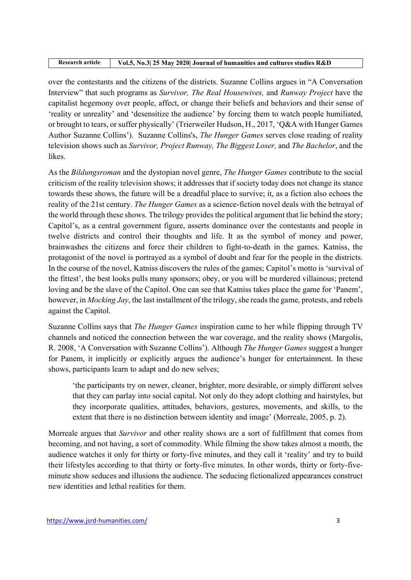| Research article | Vol.5, No.3 25 May 2020 Journal of humanities and cultures studies R&D |
|------------------|------------------------------------------------------------------------|

over the contestants and the citizens of the districts. Suzanne Collins argues in "A Conversation Interview" that such programs as Survivor, The Real Housewives, and Runway Project have the capitalist hegemony over people, affect, or change their beliefs and behaviors and their sense of 'reality or unreality' and 'desensitize the audience' by forcing them to watch people humiliated, or brought to tears, or suffer physically' (Trierweiler Hudson, H., 2017, 'Q&A with Hunger Games Author Suzanne Collins'). Suzanne Collins's, *The Hunger Games* serves close reading of reality television shows such as Survivor, Project Runway, The Biggest Loser, and The Bachelor, and the likes.

As the Bildungsroman and the dystopian novel genre, The Hunger Games contribute to the social criticism of the reality television shows; it addresses that if society today does not change its stance towards these shows, the future will be a dreadful place to survive; it, as a fiction also echoes the reality of the 21st century. The Hunger Games as a science-fiction novel deals with the betrayal of the world through these shows. The trilogy provides the political argument that lie behind the story; Capitol's, as a central government figure, asserts dominance over the contestants and people in twelve districts and control their thoughts and life. It as the symbol of money and power, brainwashes the citizens and force their children to fight-to-death in the games. Katniss, the protagonist of the novel is portrayed as a symbol of doubt and fear for the people in the districts. In the course of the novel, Katniss discovers the rules of the games; Capitol's motto is 'survival of the fittest', the best looks pulls many sponsors; obey, or you will be murdered villainous; pretend loving and be the slave of the Capitol. One can see that Katniss takes place the game for 'Panem', however, in Mocking Jay, the last installment of the trilogy, she reads the game, protests, and rebels against the Capitol.

Suzanne Collins says that The Hunger Games inspiration came to her while flipping through TV channels and noticed the connection between the war coverage, and the reality shows (Margolis, R. 2008, 'A Conversation with Suzanne Collins'). Although The Hunger Games suggest a hunger for Panem, it implicitly or explicitly argues the audience's hunger for entertainment. In these shows, participants learn to adapt and do new selves;

 'the participants try on newer, cleaner, brighter, more desirable, or simply different selves that they can parlay into social capital. Not only do they adopt clothing and hairstyles, but they incorporate qualities, attitudes, behaviors, gestures, movements, and skills, to the extent that there is no distinction between identity and image' (Morreale, 2005, p. 2).

Morreale argues that Survivor and other reality shows are a sort of fulfillment that comes from becoming, and not having, a sort of commodity. While filming the show takes almost a month, the audience watches it only for thirty or forty-five minutes, and they call it 'reality' and try to build their lifestyles according to that thirty or forty-five minutes. In other words, thirty or forty-fiveminute show seduces and illusions the audience. The seducing fictionalized appearances construct new identities and lethal realities for them.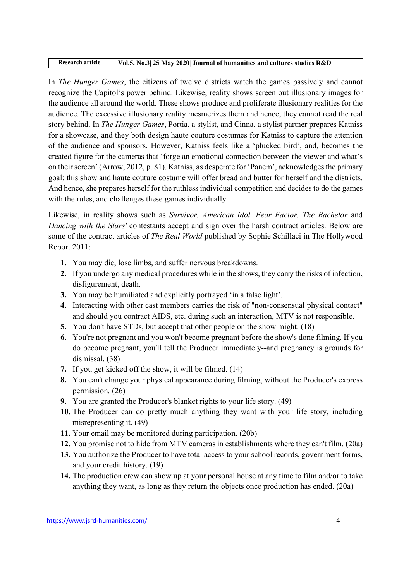#### Research article Vol.5, No.3| 25 May 2020| Journal of humanities and cultures studies R&D

In The Hunger Games, the citizens of twelve districts watch the games passively and cannot recognize the Capitol's power behind. Likewise, reality shows screen out illusionary images for the audience all around the world. These shows produce and proliferate illusionary realities for the audience. The excessive illusionary reality mesmerizes them and hence, they cannot read the real story behind. In The Hunger Games, Portia, a stylist, and Cinna, a stylist partner prepares Katniss for a showcase, and they both design haute couture costumes for Katniss to capture the attention of the audience and sponsors. However, Katniss feels like a 'plucked bird', and, becomes the created figure for the cameras that 'forge an emotional connection between the viewer and what's on their screen' (Arrow, 2012, p. 81). Katniss, as desperate for 'Panem', acknowledges the primary goal; this show and haute couture costume will offer bread and butter for herself and the districts. And hence, she prepares herself for the ruthless individual competition and decides to do the games with the rules, and challenges these games individually.

Likewise, in reality shows such as Survivor, American Idol, Fear Factor, The Bachelor and Dancing with the Stars' contestants accept and sign over the harsh contract articles. Below are some of the contract articles of The Real World published by Sophie Schillaci in The Hollywood Report 2011:

- 1. You may die, lose limbs, and suffer nervous breakdowns.
- 2. If you undergo any medical procedures while in the shows, they carry the risks of infection, disfigurement, death.
- 3. You may be humiliated and explicitly portrayed 'in a false light'.
- 4. Interacting with other cast members carries the risk of "non-consensual physical contact" and should you contract AIDS, etc. during such an interaction, MTV is not responsible.
- 5. You don't have STDs, but accept that other people on the show might. (18)
- 6. You're not pregnant and you won't become pregnant before the show's done filming. If you do become pregnant, you'll tell the Producer immediately--and pregnancy is grounds for dismissal. (38)
- 7. If you get kicked off the show, it will be filmed. (14)
- 8. You can't change your physical appearance during filming, without the Producer's express permission. (26)
- 9. You are granted the Producer's blanket rights to your life story. (49)
- 10. The Producer can do pretty much anything they want with your life story, including misrepresenting it. (49)
- 11. Your email may be monitored during participation. (20b)
- 12. You promise not to hide from MTV cameras in establishments where they can't film. (20a)
- 13. You authorize the Producer to have total access to your school records, government forms, and your credit history. (19)
- 14. The production crew can show up at your personal house at any time to film and/or to take anything they want, as long as they return the objects once production has ended. (20a)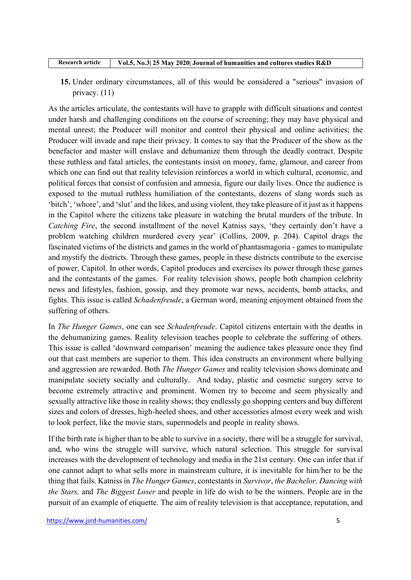| Research article | Vol.5, No.3 25 May 2020 Journal of humanities and cultures studies R&D |
|------------------|------------------------------------------------------------------------|

15. Under ordinary circumstances, all of this would be considered a "serious" invasion of privacy. (11)

As the articles articulate, the contestants will have to grapple with difficult situations and contest under harsh and challenging conditions on the course of screening; they may have physical and mental unrest; the Producer will monitor and control their physical and online activities; the Producer will invade and rape their privacy. It comes to say that the Producer of the show as the benefactor and master will enslave and dehumanize them through the deadly contract. Despite these ruthless and fatal articles, the contestants insist on money, fame, glamour, and career from which one can find out that reality television reinforces a world in which cultural, economic, and political forces that consist of confusion and amnesia, figure our daily lives. Once the audience is exposed to the mutual ruthless humiliation of the contestants, dozens of slang words such as 'bitch', 'whore', and 'slut' and the likes, and using violent, they take pleasure of it just as it happens in the Capitol where the citizens take pleasure in watching the brutal murders of the tribute. In Catching Fire, the second installment of the novel Katniss says, 'they certainly don't have a problem watching children murdered every year' (Collins, 2009, p. 204). Capitol drags the fascinated victims of the districts and games in the world of phantasmagoria - games to manipulate and mystify the districts. Through these games, people in these districts contribute to the exercise of power, Capitol. In other words, Capitol produces and exercises its power through these games and the contestants of the games. For reality television shows, people both champion celebrity news and lifestyles, fashion, gossip, and they promote war news, accidents, bomb attacks, and fights. This issue is called Schadenfreude, a German word, meaning enjoyment obtained from the suffering of others.

In The Hunger Games, one can see Schadenfreude. Capitol citizens entertain with the deaths in the dehumanizing games. Reality television teaches people to celebrate the suffering of others. This issue is called 'downward comparison' meaning the audience takes pleasure once they find out that cast members are superior to them. This idea constructs an environment where bullying and aggression are rewarded. Both The Hunger Games and reality television shows dominate and manipulate society socially and culturally. And today, plastic and cosmetic surgery serve to become extremely attractive and prominent. Women try to become and seem physically and sexually attractive like those in reality shows; they endlessly go shopping centers and buy different sizes and colors of dresses, high-heeled shoes, and other accessories almost every week and wish to look perfect, like the movie stars, supermodels and people in reality shows.

If the birth rate is higher than to be able to survive in a society, there will be a struggle for survival, and, who wins the struggle will survive, which natural selection. This struggle for survival increases with the development of technology and media in the 21st century. One can infer that if one cannot adapt to what sells more in mainstream culture, it is inevitable for him/her to be the thing that fails. Katniss in The Hunger Games, contestants in Survivor, the Bachelor, Dancing with the Stars, and The Biggest Loser and people in life do wish to be the winners. People are in the pursuit of an example of etiquette. The aim of reality television is that acceptance, reputation, and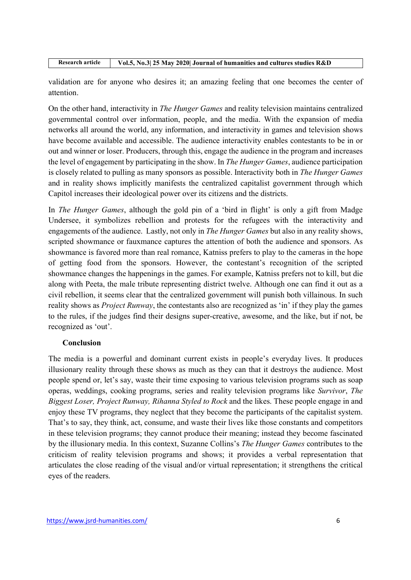| Research article | Vol.5, No.3 25 May 2020 Journal of humanities and cultures studies R&D |
|------------------|------------------------------------------------------------------------|

validation are for anyone who desires it; an amazing feeling that one becomes the center of attention.

On the other hand, interactivity in The Hunger Games and reality television maintains centralized governmental control over information, people, and the media. With the expansion of media networks all around the world, any information, and interactivity in games and television shows have become available and accessible. The audience interactivity enables contestants to be in or out and winner or loser. Producers, through this, engage the audience in the program and increases the level of engagement by participating in the show. In The Hunger Games, audience participation is closely related to pulling as many sponsors as possible. Interactivity both in The Hunger Games and in reality shows implicitly manifests the centralized capitalist government through which Capitol increases their ideological power over its citizens and the districts.

In *The Hunger Games*, although the gold pin of a 'bird in flight' is only a gift from Madge Undersee, it symbolizes rebellion and protests for the refugees with the interactivity and engagements of the audience. Lastly, not only in *The Hunger Games* but also in any reality shows, scripted showmance or fauxmance captures the attention of both the audience and sponsors. As showmance is favored more than real romance, Katniss prefers to play to the cameras in the hope of getting food from the sponsors. However, the contestant's recognition of the scripted showmance changes the happenings in the games. For example, Katniss prefers not to kill, but die along with Peeta, the male tribute representing district twelve. Although one can find it out as a civil rebellion, it seems clear that the centralized government will punish both villainous. In such reality shows as *Project Runway*, the contestants also are recognized as 'in' if they play the games to the rules, if the judges find their designs super-creative, awesome, and the like, but if not, be recognized as 'out'.

# Conclusion

The media is a powerful and dominant current exists in people's everyday lives. It produces illusionary reality through these shows as much as they can that it destroys the audience. Most people spend or, let's say, waste their time exposing to various television programs such as soap operas, weddings, cooking programs, series and reality television programs like Survivor, The Biggest Loser, Project Runway, Rihanna Styled to Rock and the likes. These people engage in and enjoy these TV programs, they neglect that they become the participants of the capitalist system. That's to say, they think, act, consume, and waste their lives like those constants and competitors in these television programs; they cannot produce their meaning; instead they become fascinated by the illusionary media. In this context, Suzanne Collins's The Hunger Games contributes to the criticism of reality television programs and shows; it provides a verbal representation that articulates the close reading of the visual and/or virtual representation; it strengthens the critical eyes of the readers.